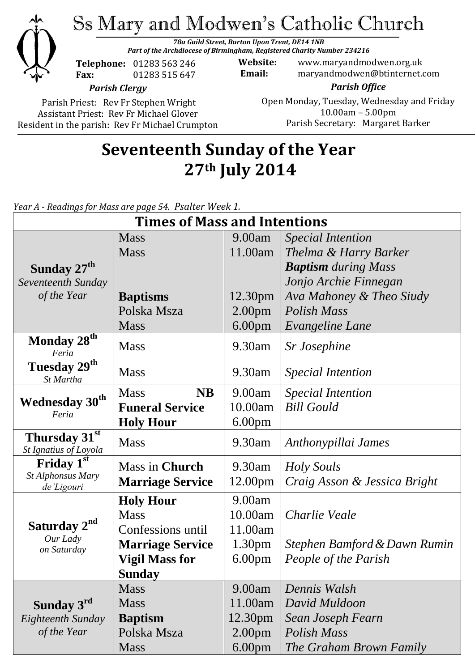

Ss Mary and Modwen's Catholic Church

*78a Guild Street, Burton Upon Trent, DE14 1NB Part of the Archdiocese of Birmingham, Registered Charity Number 234216*

**Telephone:** 01283 563 246 **Fax:** 01283 515 647

**Website:** www.maryandmodwen.org.uk **Email:** maryandmodwen@btinternet.com

*Parish Clergy*

Parish Priest: Rev Fr Stephen Wright Assistant Priest: Rev Fr Michael Glover Resident in the parish: Rev Fr Michael Crumpton

#### *Parish Office* Open Monday, Tuesday, Wednesday and Friday 10.00am – 5.00pm Parish Secretary:Margaret Barker

# **Seventeenth Sunday of the Year 27th July 2014**

*Year A - Readings for Mass are page 54. Psalter Week 1.*

| <b>Times of Mass and Intentions</b>                 |                          |                     |                              |
|-----------------------------------------------------|--------------------------|---------------------|------------------------------|
|                                                     | <b>Mass</b>              | 9.00am              | <b>Special Intention</b>     |
|                                                     | <b>Mass</b>              | 11.00am             | Thelma & Harry Barker        |
| Sunday 27 <sup>th</sup>                             |                          |                     | <b>Baptism</b> during Mass   |
| Seventeenth Sunday                                  |                          |                     | Jonjo Archie Finnegan        |
| of the Year                                         | <b>Baptisms</b>          | 12.30pm             | Ava Mahoney & Theo Siudy     |
|                                                     | Polska Msza              | 2.00 <sub>pm</sub>  | <b>Polish Mass</b>           |
|                                                     | <b>Mass</b>              | 6.00 <sub>pm</sub>  | Evangeline Lane              |
| Monday 28 <sup>th</sup><br>Feria                    | <b>Mass</b>              | 9.30am              | <b>Sr Josephine</b>          |
| Tuesday 29 <sup>th</sup><br>St Martha               | <b>Mass</b>              | 9.30am              | <b>Special Intention</b>     |
| <b>Wednesday 30th</b><br>Feria                      | <b>NB</b><br><b>Mass</b> | 9.00am              | <b>Special Intention</b>     |
|                                                     | <b>Funeral Service</b>   | 10.00am             | <b>Bill Gould</b>            |
|                                                     | <b>Holy Hour</b>         | 6.00 <sub>pm</sub>  |                              |
| Thursday 31st<br>St Ignatius of Loyola              | <b>Mass</b>              | 9.30am              | Anthonypillai James          |
| Friday 1st                                          | Mass in Church           | 9.30am              | Holy Souls                   |
| St Alphonsus Mary<br>de'Ligouri                     | <b>Marriage Service</b>  | 12.00pm             | Craig Asson & Jessica Bright |
| Saturday 2 <sup>nd</sup><br>Our Lady<br>on Saturday | <b>Holy Hour</b>         | 9.00am              |                              |
|                                                     | <b>Mass</b>              | 10.00am             | Charlie Veale                |
|                                                     | Confessions until        | 11.00am             |                              |
|                                                     | <b>Marriage Service</b>  | 1.30 <sub>pm</sub>  | Stephen Bamford & Dawn Rumin |
|                                                     | <b>Vigil Mass for</b>    | 6.00 <sub>pm</sub>  | People of the Parish         |
|                                                     | <b>Sunday</b>            |                     |                              |
|                                                     | <b>Mass</b>              | 9.00am              | Dennis Walsh                 |
| Sunday 3rd                                          | <b>Mass</b>              | 11.00am             | David Muldoon                |
| Eighteenth Sunday                                   | <b>Baptism</b>           | 12.30 <sub>pm</sub> | Sean Joseph Fearn            |
| of the Year                                         | Polska Msza              | 2.00 <sub>pm</sub>  | Polish Mass                  |
|                                                     | <b>Mass</b>              | 6.00 <sub>pm</sub>  | The Graham Brown Family      |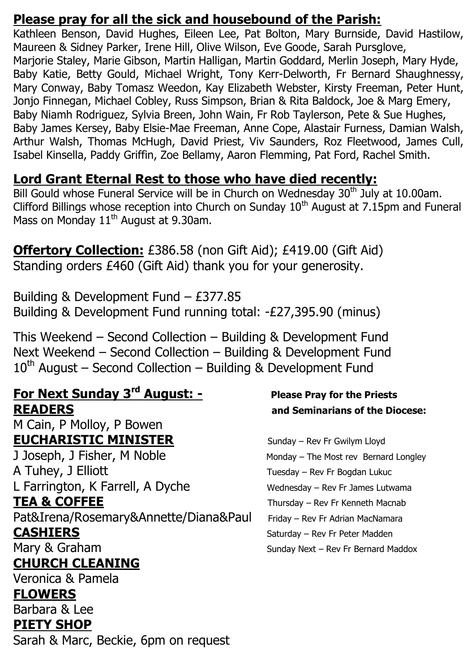#### **Please pray for all the sick and housebound of the Parish:**

Kathleen Benson, David Hughes, Eileen Lee, Pat Bolton, Mary Burnside, David Hastilow, Maureen & Sidney Parker, Irene Hill, Olive Wilson, Eve Goode, Sarah Pursglove, Marjorie Staley, Marie Gibson, Martin Halligan, Martin Goddard, Merlin Joseph, Mary Hyde, Baby Katie, Betty Gould, Michael Wright, Tony Kerr-Delworth, Fr Bernard Shaughnessy, Mary Conway, Baby Tomasz Weedon, Kay Elizabeth Webster, Kirsty Freeman, Peter Hunt, Jonjo Finnegan, Michael Cobley, Russ Simpson, Brian & Rita Baldock, Joe & Marg Emery, Baby Niamh Rodriguez, Sylvia Breen, John Wain, Fr Rob Taylerson, Pete & Sue Hughes, Baby James Kersey, Baby Elsie-Mae Freeman, Anne Cope, Alastair Furness, Damian Walsh, Arthur Walsh, Thomas McHugh, David Priest, Viv Saunders, Roz Fleetwood, James Cull, Isabel Kinsella, Paddy Griffin, Zoe Bellamy, Aaron Flemming, Pat Ford, Rachel Smith.

### **Lord Grant Eternal Rest to those who have died recently:**

Bill Gould whose Funeral Service will be in Church on Wednesday 30<sup>th</sup> July at 10.00am. Clifford Billings whose reception into Church on Sunday  $10^{th}$  August at 7.15pm and Funeral Mass on Monday  $11<sup>th</sup>$  August at 9.30am.

**Offertory Collection:** £386.58 (non Gift Aid); £419.00 (Gift Aid) Standing orders £460 (Gift Aid) thank you for your generosity.

Building & Development Fund – £377.85 Building & Development Fund running total: -£27,395.90 (minus)

This Weekend – Second Collection – Building & Development Fund Next Weekend – Second Collection – Building & Development Fund  $10^{th}$  August – Second Collection – Building & Development Fund

### **For Next Sunday 3rd August: - Please Pray for the Priests READERS and Seminarians of the Diocese:**

M Cain, P Molloy, P Bowen **EUCHARISTIC MINISTER** Sunday – Rev Fr Gwilym Lloyd J Joseph, J Fisher, M Noble Monday – The Most rev Bernard Longley A Tuhey, J Elliott Tuesday – Rev Fr Bogdan Lukuc L Farrington, K Farrell, A Dyche Wednesday – Rev Fr James Lutwama TEA & COFFEE THE Thursday – Rev Fr Kenneth Macnab Pat&Irena/Rosemary&Annette/Diana&Paul Friday - Rev Fr Adrian MacNamara

## **CHURCH CLEANING**

Veronica & Pamela

#### **FLOWERS**

Barbara & Lee **PIETY SHOP**

Sarah & Marc, Beckie, 6pm on request

**CASHIERS** Saturday – Rev Fr Peter Madden Mary & Graham Sunday Next – Rev Fr Bernard Maddox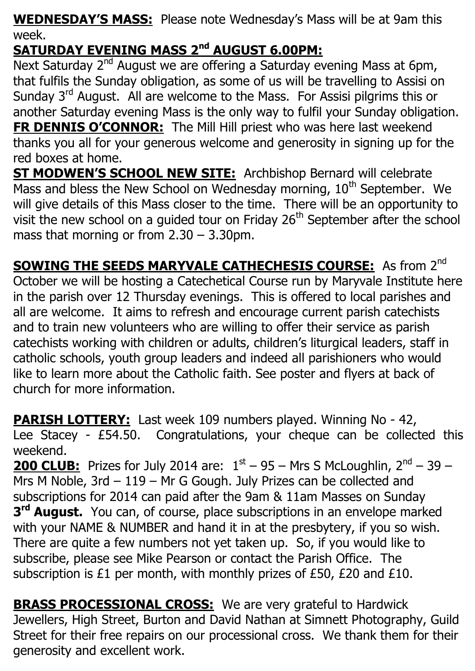**WEDNESDAY'S MASS:** Please note Wednesday's Mass will be at 9am this week.

# **SATURDAY EVENING MASS 2nd AUGUST 6.00PM:**

Next Saturday  $2^{nd}$  August we are offering a Saturday evening Mass at 6pm, that fulfils the Sunday obligation, as some of us will be travelling to Assisi on Sunday 3<sup>rd</sup> August. All are welcome to the Mass. For Assisi pilgrims this or another Saturday evening Mass is the only way to fulfil your Sunday obligation. **FR DENNIS O'CONNOR:** The Mill Hill priest who was here last weekend thanks you all for your generous welcome and generosity in signing up for the red boxes at home.

**ST MODWEN'S SCHOOL NEW SITE:** Archbishop Bernard will celebrate Mass and bless the New School on Wednesday morning,  $10<sup>th</sup>$  September. We will give details of this Mass closer to the time. There will be an opportunity to visit the new school on a guided tour on Friday  $26<sup>th</sup>$  September after the school mass that morning or from 2.30 – 3.30pm.

**SOWING THE SEEDS MARYVALE CATHECHESIS COURSE:** As from 2<sup>nd</sup> October we will be hosting a Catechetical Course run by Maryvale Institute here in the parish over 12 Thursday evenings. This is offered to local parishes and all are welcome. It aims to refresh and encourage current parish catechists and to train new volunteers who are willing to offer their service as parish catechists working with children or adults, children's liturgical leaders, staff in catholic schools, youth group leaders and indeed all parishioners who would like to learn more about the Catholic faith. See poster and flyers at back of church for more information.

**PARISH LOTTERY:** Last week 109 numbers played. Winning No - 42, Lee Stacey - £54.50. Congratulations, your cheque can be collected this weekend.

**200 CLUB:** Prizes for July 2014 are:  $1<sup>st</sup> - 95 - Mrs$  S McLoughlin,  $2<sup>nd</sup> - 39 -$ Mrs M Noble, 3rd – 119 – Mr G Gough. July Prizes can be collected and subscriptions for 2014 can paid after the 9am & 11am Masses on Sunday **3 rd August.** You can, of course, place subscriptions in an envelope marked with your NAME & NUMBER and hand it in at the presbytery, if you so wish. There are quite a few numbers not yet taken up. So, if you would like to subscribe, please see Mike Pearson or contact the Parish Office. The subscription is £1 per month, with monthly prizes of £50, £20 and £10.

**BRASS PROCESSIONAL CROSS:** We are very grateful to Hardwick Jewellers, High Street, Burton and David Nathan at Simnett Photography, Guild Street for their free repairs on our processional cross. We thank them for their generosity and excellent work.